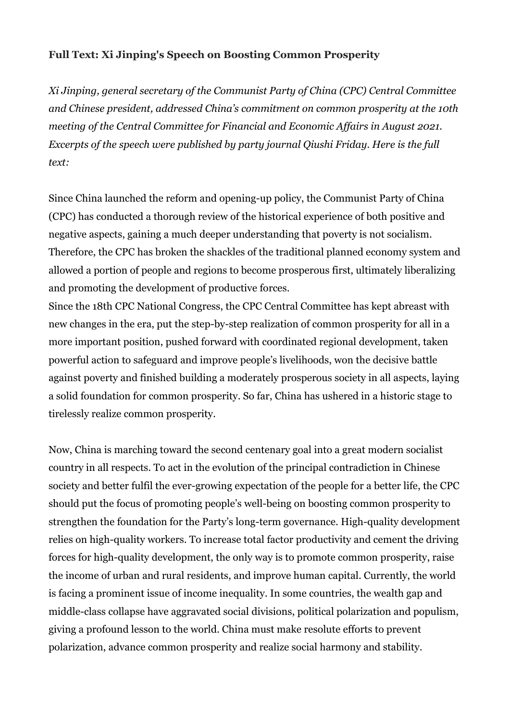## **Full Text: Xi Jinping's Speech on Boosting Common Prosperity**

*Xi Jinping, general secretary of the Communist Party of China (CPC) Central Committee and Chinese president, addressed China's commitment on common prosperity at the 10th meeting of the Central Committee for Financial and Economic Affairs in August 2021. Excerpts of the speech were published by party journal Qiushi Friday. Here is the full text:* 

Since China launched the reform and opening-up policy, the Communist Party of China (CPC) has conducted a thorough review of the historical experience of both positive and negative aspects, gaining a much deeper understanding that poverty is not socialism. Therefore, the CPC has broken the shackles of the traditional planned economy system and allowed a portion of people and regions to become prosperous first, ultimately liberalizing and promoting the development of productive forces.

Since the 18th CPC National Congress, the CPC Central Committee has kept abreast with new changes in the era, put the step-by-step realization of common prosperity for all in a more important position, pushed forward with coordinated regional development, taken powerful action to safeguard and improve people's livelihoods, won the decisive battle against poverty and finished building a moderately prosperous society in all aspects, laying a solid foundation for common prosperity. So far, China has ushered in a historic stage to tirelessly realize common prosperity.

Now, China is marching toward the second centenary goal into a great modern socialist country in all respects. To act in the evolution of the principal contradiction in Chinese society and better fulfil the ever-growing expectation of the people for a better life, the CPC should put the focus of promoting people's well-being on boosting common prosperity to strengthen the foundation for the Party's long-term governance. High-quality development relies on high-quality workers. To increase total factor productivity and cement the driving forces for high-quality development, the only way is to promote common prosperity, raise the income of urban and rural residents, and improve human capital. Currently, the world is facing a prominent issue of income inequality. In some countries, the wealth gap and middle-class collapse have aggravated social divisions, political polarization and populism, giving a profound lesson to the world. China must make resolute efforts to prevent polarization, advance common prosperity and realize social harmony and stability.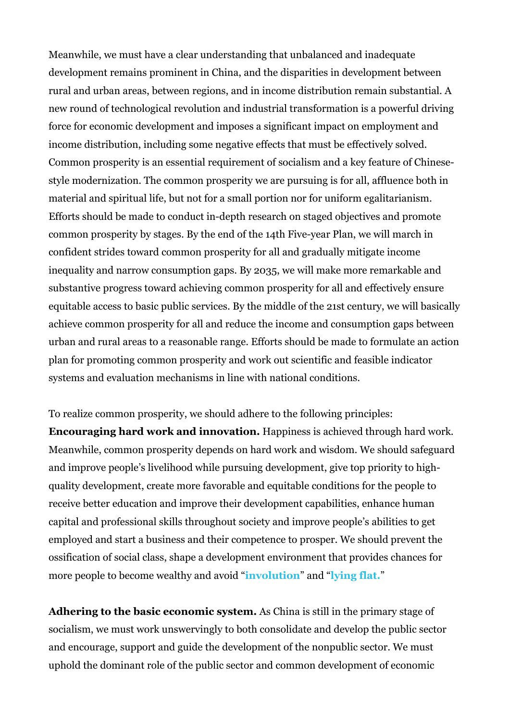Meanwhile, we must have a clear understanding that unbalanced and inadequate development remains prominent in China, and the disparities in development between rural and urban areas, between regions, and in income distribution remain substantial. A new round of technological revolution and industrial transformation is a powerful driving force for economic development and imposes a significant impact on employment and income distribution, including some negative effects that must be effectively solved. Common prosperity is an essential requirement of socialism and a key feature of Chinesestyle modernization. The common prosperity we are pursuing is for all, affluence both in material and spiritual life, but not for a small portion nor for uniform egalitarianism. Efforts should be made to conduct in-depth research on staged objectives and promote common prosperity by stages. By the end of the 14th Five-year Plan, we will march in confident strides toward common prosperity for all and gradually mitigate income inequality and narrow consumption gaps. By 2035, we will make more remarkable and substantive progress toward achieving common prosperity for all and effectively ensure equitable access to basic public services. By the middle of the 21st century, we will basically achieve common prosperity for all and reduce the income and consumption gaps between urban and rural areas to a reasonable range. Efforts should be made to formulate an action plan for promoting common prosperity and work out scientific and feasible indicator systems and evaluation mechanisms in line with national conditions.

To realize common prosperity, we should adhere to the following principles: **Encouraging hard work and innovation.** Happiness is achieved through hard work. Meanwhile, common prosperity depends on hard work and wisdom. We should safeguard and improve people's livelihood while pursuing development, give top priority to highquality development, create more favorable and equitable conditions for the people to receive better education and improve their development capabilities, enhance human capital and professional skills throughout society and improve people's abilities to get employed and start a business and their competence to prosper. We should prevent the ossification of social class, shape a development environment that provides chances for more people to become wealthy and avoid "**[involution](https://www.caixinglobal.com/2021-05-15/weekend-long-read-tracking-the-proliferation-of-jargon-in-chinese-society-101713083.html)**" and "**[lying flat.](https://www.caixinglobal.com/2021-05-31/trending-in-china-young-chinese-reject-rat-race-embrace-lying-flat-101720746.html)**"

**Adhering to the basic economic system.** As China is still in the primary stage of socialism, we must work unswervingly to both consolidate and develop the public sector and encourage, support and guide the development of the nonpublic sector. We must uphold the dominant role of the public sector and common development of economic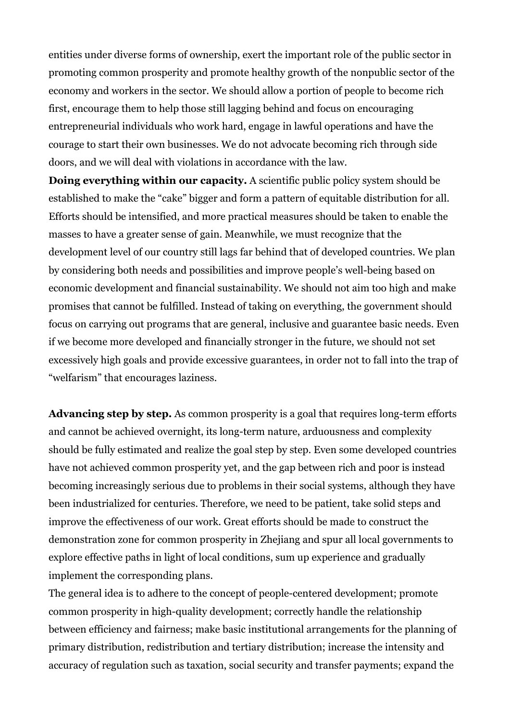entities under diverse forms of ownership, exert the important role of the public sector in promoting common prosperity and promote healthy growth of the nonpublic sector of the economy and workers in the sector. We should allow a portion of people to become rich first, encourage them to help those still lagging behind and focus on encouraging entrepreneurial individuals who work hard, engage in lawful operations and have the courage to start their own businesses. We do not advocate becoming rich through side doors, and we will deal with violations in accordance with the law.

**Doing everything within our capacity.** A scientific public policy system should be established to make the "cake" bigger and form a pattern of equitable distribution for all. Efforts should be intensified, and more practical measures should be taken to enable the masses to have a greater sense of gain. Meanwhile, we must recognize that the development level of our country still lags far behind that of developed countries. We plan by considering both needs and possibilities and improve people's well-being based on economic development and financial sustainability. We should not aim too high and make promises that cannot be fulfilled. Instead of taking on everything, the government should focus on carrying out programs that are general, inclusive and guarantee basic needs. Even if we become more developed and financially stronger in the future, we should not set excessively high goals and provide excessive guarantees, in order not to fall into the trap of "welfarism" that encourages laziness.

**Advancing step by step.** As common prosperity is a goal that requires long-term efforts and cannot be achieved overnight, its long-term nature, arduousness and complexity should be fully estimated and realize the goal step by step. Even some developed countries have not achieved common prosperity yet, and the gap between rich and poor is instead becoming increasingly serious due to problems in their social systems, although they have been industrialized for centuries. Therefore, we need to be patient, take solid steps and improve the effectiveness of our work. Great efforts should be made to construct the demonstration zone for common prosperity in Zhejiang and spur all local governments to explore effective paths in light of local conditions, sum up experience and gradually implement the corresponding plans.

The general idea is to adhere to the concept of people-centered development; promote common prosperity in high-quality development; correctly handle the relationship between efficiency and fairness; make basic institutional arrangements for the planning of primary distribution, redistribution and tertiary distribution; increase the intensity and accuracy of regulation such as taxation, social security and transfer payments; expand the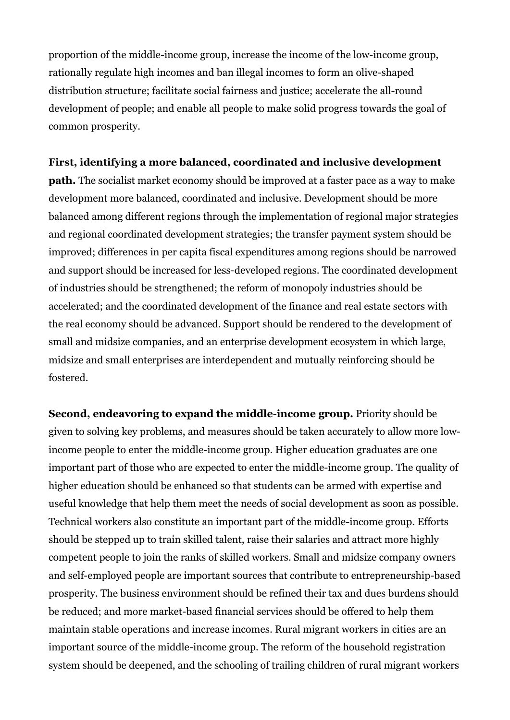proportion of the middle-income group, increase the income of the low-income group, rationally regulate high incomes and ban illegal incomes to form an olive-shaped distribution structure; facilitate social fairness and justice; accelerate the all-round development of people; and enable all people to make solid progress towards the goal of common prosperity.

## **First, identifying a more balanced, coordinated and inclusive development**

**path.** The socialist market economy should be improved at a faster pace as a way to make development more balanced, coordinated and inclusive. Development should be more balanced among different regions through the implementation of regional major strategies and regional coordinated development strategies; the transfer payment system should be improved; differences in per capita fiscal expenditures among regions should be narrowed and support should be increased for less-developed regions. The coordinated development of industries should be strengthened; the reform of monopoly industries should be accelerated; and the coordinated development of the finance and real estate sectors with the real economy should be advanced. Support should be rendered to the development of small and midsize companies, and an enterprise development ecosystem in which large, midsize and small enterprises are interdependent and mutually reinforcing should be fostered.

**Second, endeavoring to expand the middle-income group.** Priority should be given to solving key problems, and measures should be taken accurately to allow more lowincome people to enter the middle-income group. Higher education graduates are one important part of those who are expected to enter the middle-income group. The quality of higher education should be enhanced so that students can be armed with expertise and useful knowledge that help them meet the needs of social development as soon as possible. Technical workers also constitute an important part of the middle-income group. Efforts should be stepped up to train skilled talent, raise their salaries and attract more highly competent people to join the ranks of skilled workers. Small and midsize company owners and self-employed people are important sources that contribute to entrepreneurship-based prosperity. The business environment should be refined their tax and dues burdens should be reduced; and more market-based financial services should be offered to help them maintain stable operations and increase incomes. Rural migrant workers in cities are an important source of the middle-income group. The reform of the household registration system should be deepened, and the schooling of trailing children of rural migrant workers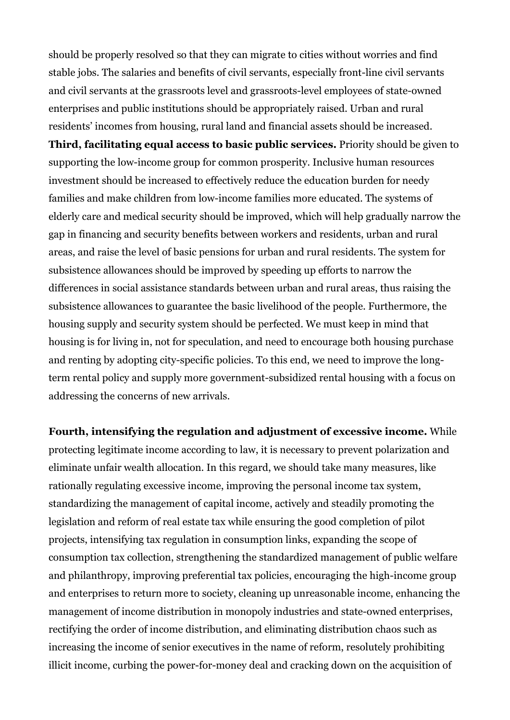should be properly resolved so that they can migrate to cities without worries and find stable jobs. The salaries and benefits of civil servants, especially front-line civil servants and civil servants at the grassroots level and grassroots-level employees of state-owned enterprises and public institutions should be appropriately raised. Urban and rural residents' incomes from housing, rural land and financial assets should be increased.

**Third, facilitating equal access to basic public services.** Priority should be given to supporting the low-income group for common prosperity. Inclusive human resources investment should be increased to effectively reduce the education burden for needy families and make children from low-income families more educated. The systems of elderly care and medical security should be improved, which will help gradually narrow the gap in financing and security benefits between workers and residents, urban and rural areas, and raise the level of basic pensions for urban and rural residents. The system for subsistence allowances should be improved by speeding up efforts to narrow the differences in social assistance standards between urban and rural areas, thus raising the subsistence allowances to guarantee the basic livelihood of the people. Furthermore, the housing supply and security system should be perfected. We must keep in mind that housing is for living in, not for speculation, and need to encourage both housing purchase and renting by adopting city-specific policies. To this end, we need to improve the longterm rental policy and supply more government-subsidized rental housing with a focus on addressing the concerns of new arrivals.

**Fourth, intensifying the regulation and adjustment of excessive income.** While protecting legitimate income according to law, it is necessary to prevent polarization and eliminate unfair wealth allocation. In this regard, we should take many measures, like rationally regulating excessive income, improving the personal income tax system, standardizing the management of capital income, actively and steadily promoting the legislation and reform of real estate tax while ensuring the good completion of pilot projects, intensifying tax regulation in consumption links, expanding the scope of consumption tax collection, strengthening the standardized management of public welfare and philanthropy, improving preferential tax policies, encouraging the high-income group and enterprises to return more to society, cleaning up unreasonable income, enhancing the management of income distribution in monopoly industries and state-owned enterprises, rectifying the order of income distribution, and eliminating distribution chaos such as increasing the income of senior executives in the name of reform, resolutely prohibiting illicit income, curbing the power-for-money deal and cracking down on the acquisition of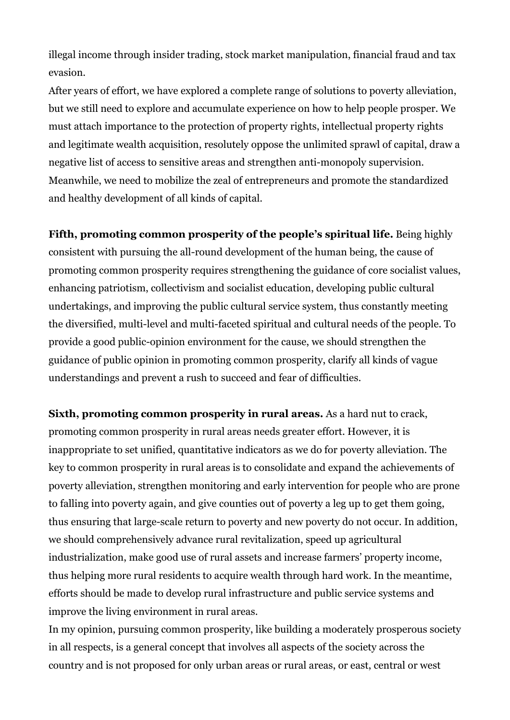illegal income through insider trading, stock market manipulation, financial fraud and tax evasion.

After years of effort, we have explored a complete range of solutions to poverty alleviation, but we still need to explore and accumulate experience on how to help people prosper. We must attach importance to the protection of property rights, intellectual property rights and legitimate wealth acquisition, resolutely oppose the unlimited sprawl of capital, draw a negative list of access to sensitive areas and strengthen anti-monopoly supervision. Meanwhile, we need to mobilize the zeal of entrepreneurs and promote the standardized and healthy development of all kinds of capital.

**Fifth, promoting common prosperity of the people's spiritual life.** Being highly consistent with pursuing the all-round development of the human being, the cause of promoting common prosperity requires strengthening the guidance of core socialist values, enhancing patriotism, collectivism and socialist education, developing public cultural undertakings, and improving the public cultural service system, thus constantly meeting the diversified, multi-level and multi-faceted spiritual and cultural needs of the people. To provide a good public-opinion environment for the cause, we should strengthen the guidance of public opinion in promoting common prosperity, clarify all kinds of vague understandings and prevent a rush to succeed and fear of difficulties.

**Sixth, promoting common prosperity in rural areas.** As a hard nut to crack, promoting common prosperity in rural areas needs greater effort. However, it is inappropriate to set unified, quantitative indicators as we do for poverty alleviation. The key to common prosperity in rural areas is to consolidate and expand the achievements of poverty alleviation, strengthen monitoring and early intervention for people who are prone to falling into poverty again, and give counties out of poverty a leg up to get them going, thus ensuring that large-scale return to poverty and new poverty do not occur. In addition, we should comprehensively advance rural revitalization, speed up agricultural industrialization, make good use of rural assets and increase farmers' property income, thus helping more rural residents to acquire wealth through hard work. In the meantime, efforts should be made to develop rural infrastructure and public service systems and improve the living environment in rural areas.

In my opinion, pursuing common prosperity, like building a moderately prosperous society in all respects, is a general concept that involves all aspects of the society across the country and is not proposed for only urban areas or rural areas, or east, central or west